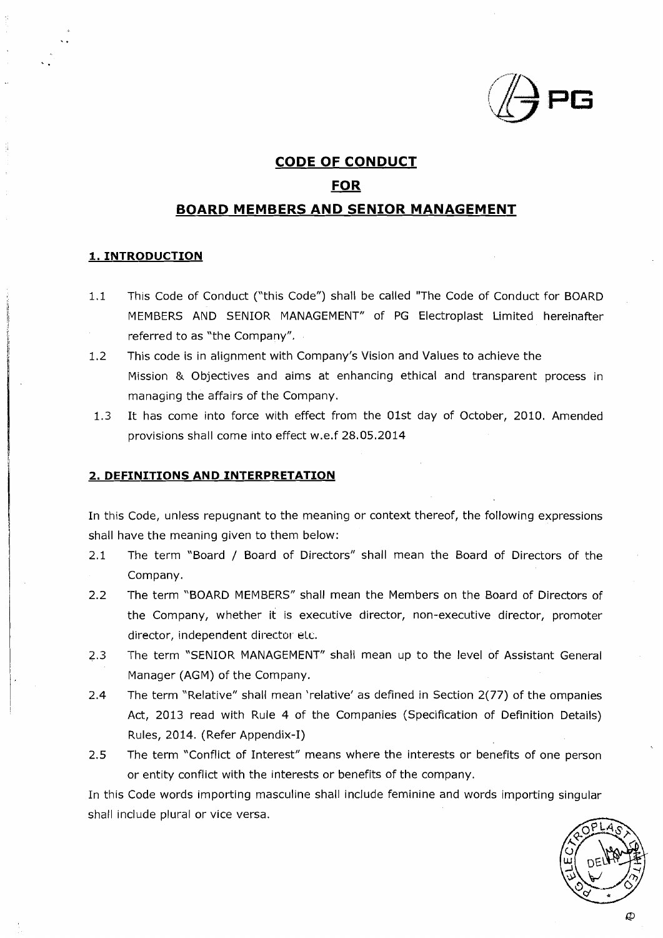

# **CODE OF CONDUCT**  <u>F CONDU</u><br><u>FOR</u><br>ID SENIO

# **BOARD MEMBERS AND SENIOR MANAGEMENT**

### **1. INTRODUCTION**

- 1.1 This Code of Conduct ("this Code") shall be called "The Code of Conduct for BOARD MEMBERS AND SENIOR MANAGEMENT" of PG Electroplast Limited hereinafter referred to as "the Company".
- 1.2 This code is in alignment with Company's Vision and Values to achieve the Mission & Objectives and aims at enhancing ethical and transparent process in managing the affairs of the Company.
- 1.3 It has come into force with effect from the Olst day of October, 2010. Amended provisions shall come into effect w.e.f 28.05.2014

#### **2. DEFINITIONS AND IN'TERPRETATION**

In this Code, unless repugnant to the meaning or context thereof, the following expressions shall have the meaning given to them below:

- 2.1 The term "Board / Board of Directors" shall mean the Board of Directors of the Company.
- 2.2 The term "BOARD MEMBERS" shall mean the Members on the Board of Directors of the Company, whether it is executive director, non-executive director, promoter director, independent director etc.
- 2.3 The term "SENIOR MANAGEMENT" shall mean up to the level of Assistant General Manager (AGM) of the Company.
- 2.4 The term "Relative" shall mean 'relative' as defined in Section 2(77) of the ompanies Act, 2013 read with Rule 4 of the Companies (Specification of Definition Details) Rules, 2014. (Refer Appendix-I)
- 2.5 The term "Conflict of Interest" means where the interests or benefits of one person or entity conflict with the interests or benefits of the company.

In this Code words importing masculine shall include feminine and words importing singular shall include plural or vice versa.

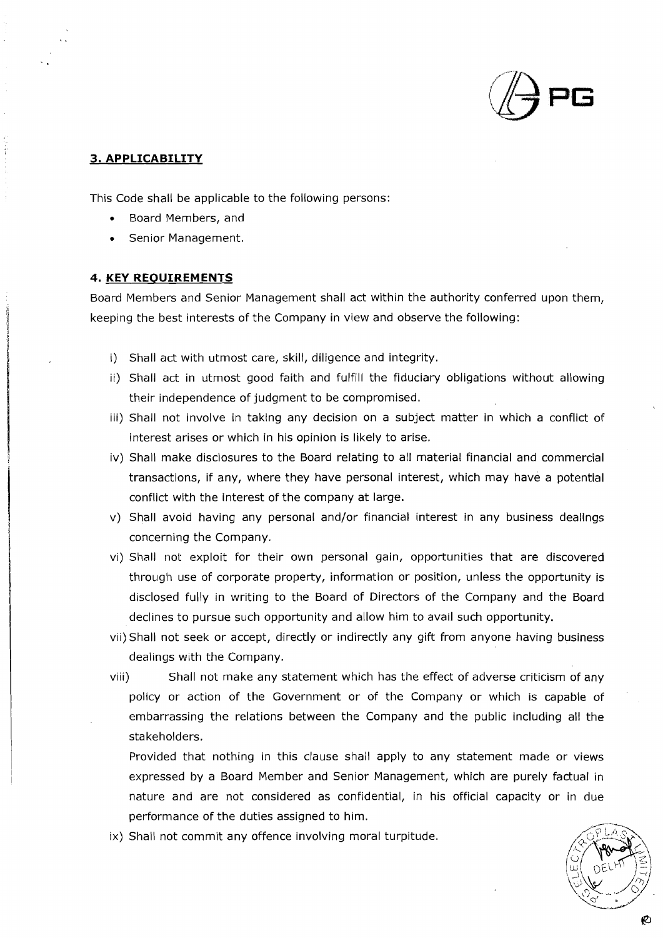

# **3. APPLICABILITY**

This Code shall be applicable to the following persons:

- Board Members, and
- Senior Management.

### **4. KEY REQUIREMENTS**

Board Members and Senior Management shall act within the authority conferred upon them, keeping the best interests of the Company in view and observe the following:

- i) Shall act with utmost care, skill, diligence and integrity.
- ii) Shall act in utmost good faith and fulfill the fiduciary obligations without allowing their independence of judgment to be compromised.
- iii) Shall not involve in taking any decision on a subject matter in which a conflict of interest arises or which in his opinion is likely to arise.
- iv) Shall make disclosures to the Board relating to all material financial and commercial transactions, if any, where they have personal interest, which may have a potential conflict with the interest of the company at large.
- v) Shall avoid having any personal and/or financial interest in any business deallngs concerning the Company.
- vi) Shall not: exploit for their own personal gain, opportunities that are discovered through use of corporate property, information or position, unless the opportunity is disclosed fully in writing to the Board of Directors of the Company and the Board declines to pursue such opportunity and allow him to avail such opportunity.
- vii)Shall not seek or accept, directly or indirectly any gift from anyone having business dealings with the Company.
- viii) Shall not make any statement which has the effect of adverse criticism of any policy or action of the Government or of the Company or which is capable of embarrassing the relations between the Company and the public including all the stakeholders.

Provided that nothing in this clause shall apply to any statement made or views expressed by a Board Member and Senior Management, which are purely factual in nature and are not considered as confidential, in his official capacity or in due performance of the duties assigned to him.

ix) Shall not commit any offence involving moral turpitude.

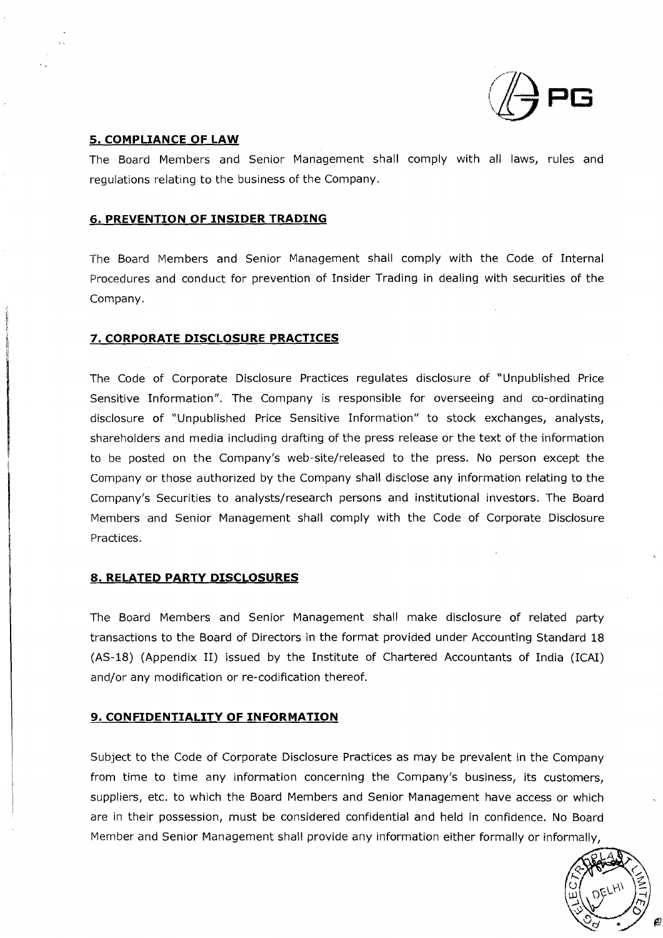

### **5. COMPLIANCE OF LAW**

The Board Members and Senior Management shall comply with all laws, rules and regulations relating to the business of the Company.

# **6. PREVENTION OF INSIDER TRADING**

The Board Members and Senior Management shall comply with the Code of Internal Procedures and conduct for prevention of Insider Trading in dealing with securities of the Company.

# **7. CORPORATE DISCLOSURE PRACTICES**

The Code of Corporate Disclosure Practices regulates disclosure of "Unpublished Price Sensitive Information". The Company is responsible for overseeing and co-ordinating disclosure of "Unpublished Price Sensitive Information" to stock exchanges, analysts, shareholders and media including drafting of the press release or the text of the information to be posted on the Company's web-site/released to the press. No person except the Company or those authorized by the Company shall disclose any information relating to the Company's Securities to analysts/research persons and institutional investors. The Board Members and Senior Management shall comply with the Code of Corporate Disclosure Practices.

### **8. RELATED PARTY DISCLOSURES**

The Board Members and Senior Management shall make disclosure of related party transactions to the Board of Directors in the format provided under Accounting Standard 18 (AS-18) (Appendix 11) issued by the Institute of Chartered Accountants of India (ICAI) and/or any modification or re-codification thereof.

### **9. CONFIDENTIALITY OF INFORMATION**

Subject to the Code of Corporate Disclosure Practices as may be prevalent in the Company from time to time any information concerning the Company's business, its customers, suppliers, etc. to which the Board Members and Senior Management have access or which are in their possession, must be considered confidential and held in confidence. No Board Member and Senior Management shall provide any information either formally or informally,

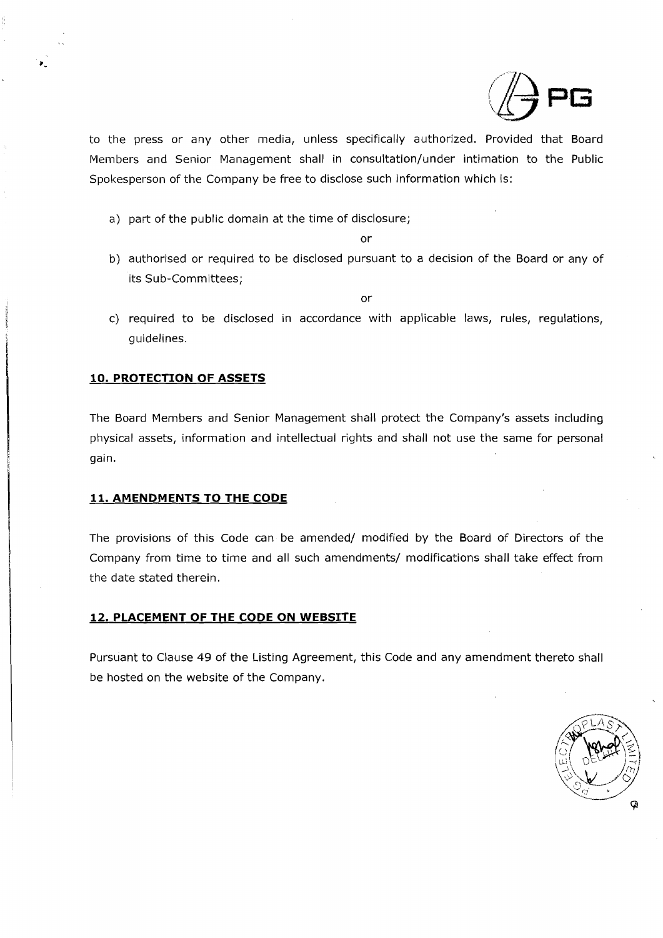

to the press or any other media, unless specifically authorized. Provided that Board Members and Senior Management shall in consultation/under intimation to the Public Spokesperson of the Company be free to disclose such information which is:

a) part of the public domain at the time of disclosure;

or

b) authorised or required to be disclosed pursuant to a decision of the Board or any of its Sub-Committees:

or

c) required to be disclosed in accordance with applicable laws, rules, regulations, guidelines.

# **10. PROTECTION OF ASSETS**

The Board Members and Senior Management shall protect the Company's assets including physical assets, information and intellectual rights and shall not use the same for personal gain.

# **11. AMENDMENTS TO THE CODE**

The provisions of this Code can be amended/ modified by the Board of Directors of the Company from time to time and all such amendments/ modifications shall take effect from the date stated therein.

# **12. PLACEMENT OF THE CODE ON WEBSITE**

Pursuant to Clause 49 of the Listing Agreement, this Code and any amendment thereto shall be hosted on the website of the Company.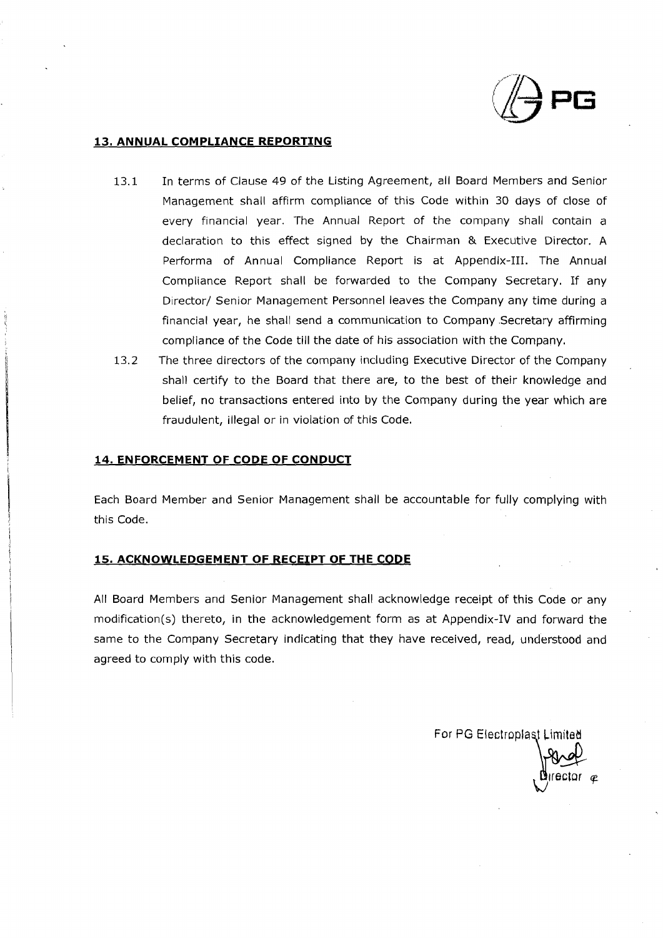

# **13. ANNUAL COMPLIANCE REPORTING**

- 13.1 In terms of Clause 49 of the Listing Agreement, all Board Members and Senior Management shall affirm compliance of this Code within 30 days of close of every financial year. The Annual Report of the company shall contain a declaration to this effect signed by the Chairman & Executive Director. A Performa of Annual Compliance Report is at Appendix-111. The Annual Compliance Report shall be forwarded to the Company Secretary. If any Director/ Senior Management Personnel leaves the Company any time during a financial year, he shall send a communication to Company .Secretary affirming compliance of the Code till the date of his association with the Company.
- 13.2 The three directors of the company including Executive Director of the Company shall certify to the Board that there are, to the best of their knowledge and belief, no transactions entered into by the Company during the year which are fraudulent, illegal or in violation of this Code.

### **14. ENFORCEMENT OF CODE OF CONDUCT**

Each Board Member and Senior Management shall be accountable for fully complying with this Code.

# **15. ACKNOWLEDGEMENT OF RECEIPT OF THE CODE**

All Board Members and Senior Management shall acknowledge receipt of this Code or any modification(s) thereto, in the acknowledgement form as at Appendix-IV and forward the same to the Company Secretary indicating that they have received, read, understood and agreed to comply with this code.

For PG Electroplast Limited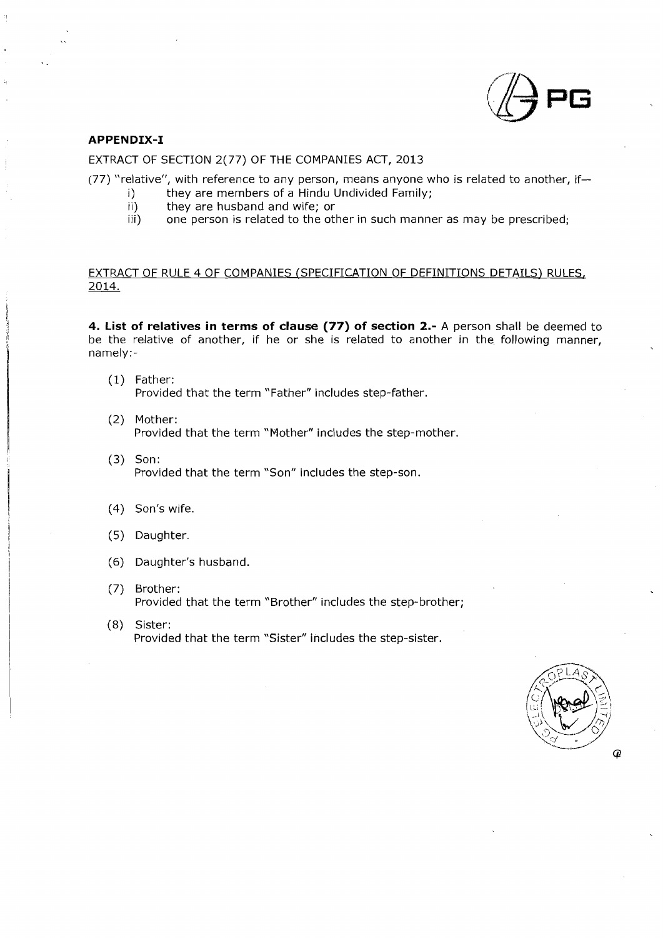

#### **APPEN DIX-I**

#### EXTRACT OF SECTION 2(77) OF THE COMPANIES ACT, 2013

(77) "relative", with reference to any person, means anyone who is related to another, if-

- i) they are members of a Hindu Undivided Family;<br>ii) they are husband and wife: or
- ii) they are husband and wife; or<br>iii) one person is related to the otl
- one person is related to the other in such manner as may be prescribed;

## EXTRACT OF RULE 4 OF COMPANIES (SPECIFICATION OF DEFINITIONS DETAILS) RULES, 2014.

**4. List of relatives in terms of clause (77) of section 2.-** A person shall be deemed to be the relative of another, if he or she is related to another in the following manner, namely:-

- (1) Father: Provided that the term "Father" includes step-father.
- (2) Mother: Provided that the term "Mother" includes the step-mother.
- (3) Son: Provided that the term 'Son" includes the step-son.
- (4) Son's wife.
- (5) Daughter.
- (6) Daughter's husband.
- (7) Brother: Provided that the term "Brother" includes the step-brother;
- (8) Sister: Provided that the term "Sister" includes the step-sister.

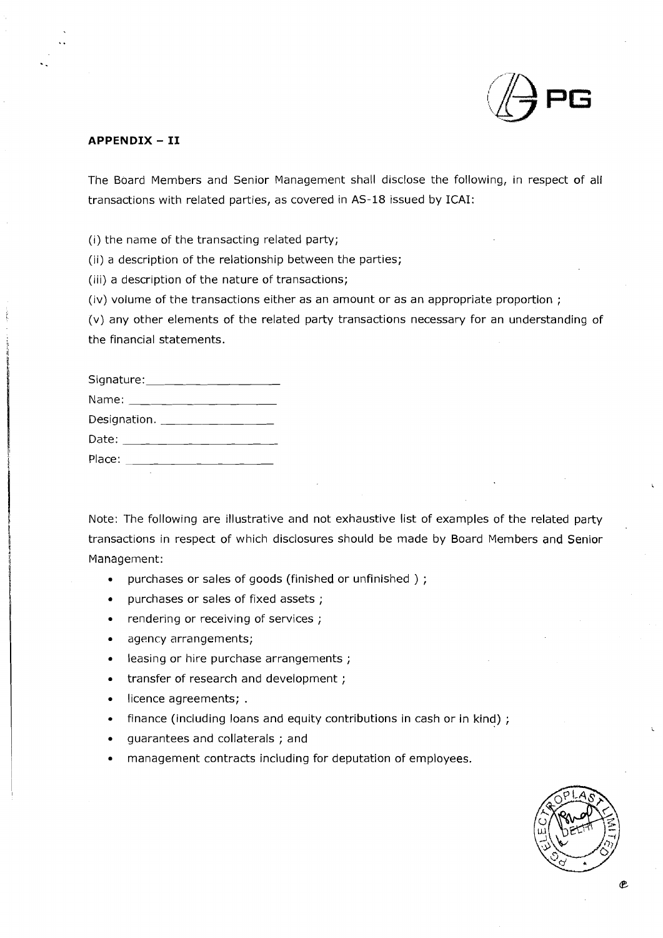

### **APPENDIX** - **I1**

The Board Members and Senior Management shall disclose the following, in respect of all transactions with related parties, as covered in AS-18 issued by ICAI:

(i) the name of the transacting related party;

(ii) a description of the relationship between the parties;

(iii) a description of the nature of transactions;

(iv) volume of the transactions either as an amount or as an appropriate proportion ;

(v) any other elements of the related party transactions necessary for an understanding of the financial statements.

| Signature: __________________ |  |
|-------------------------------|--|
|                               |  |
| Designation. ________________ |  |
| Date: ______________________  |  |
|                               |  |
|                               |  |

Note: The following are illustrative and not exhaustive list of examples of the related party transactions in respect of which disclosures should be made by Board Members and Senior Management:

- purchases or sales of goods (finished or unfinished ) ;  $\bullet$
- purchases or sales of fixed assets ;  $\bullet$
- rendering or receiving of services ;
- agency arrangements;
- leasing or hire purchase arrangements ;
- transfer of research and development ;
- licence agreements; .
- finance (including loans and equity contributions in cash or in kind) ;
- guarantees and collaterals ; and
- management contracts including for deputation of employees.

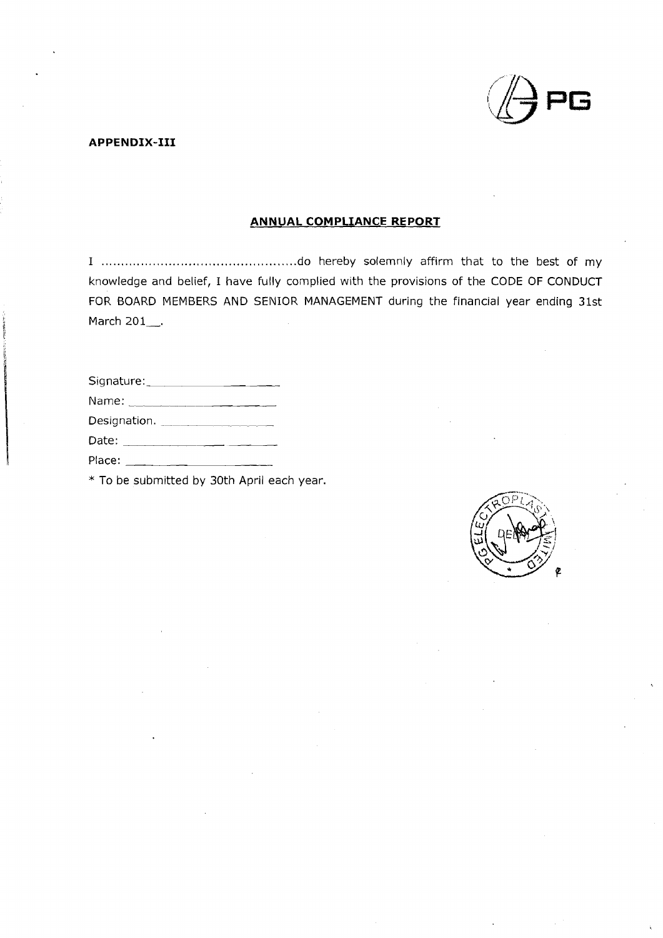

APPENDIX-III

# ANNUAL COMPLIANCE REPORT

I ............................................. do hereby solemnly affirm that to the best of my knowledge and belief, I have fully complied with the provisions of the CODE OF CONDUCT FOR BOARD MEMBERS AND SENIOR MANAGEMENT during the financial year ending 31st March 201 $\_\cdot$ .

\* To be submitted by 30th April each year.